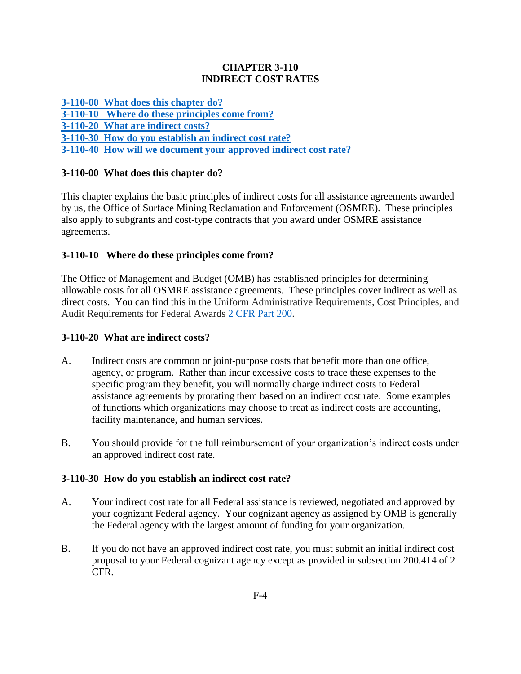### **CHAPTER 3-110 INDIRECT COST RATES**

**[3-110-00 What does this chapter do?](#page-0-0) [3-110-10 Where do these principles come from?](#page-0-1) [3-110-20 What are indirect costs?](#page-0-2) [3-110-30 How do you establish an indirect cost rate?](#page-0-3) [3-110-40 How will we document your approved indirect cost rate?](#page-1-0)**

# <span id="page-0-0"></span>**3-110-00 What does this chapter do?**

This chapter explains the basic principles of indirect costs for all assistance agreements awarded by us, the Office of Surface Mining Reclamation and Enforcement (OSMRE). These principles also apply to subgrants and cost-type contracts that you award under OSMRE assistance agreements.

# <span id="page-0-1"></span>**3-110-10 Where do these principles come from?**

The Office of Management and Budget (OMB) has established principles for determining allowable costs for all OSMRE assistance agreements. These principles cover indirect as well as direct costs. You can find this in the Uniform Administrative Requirements, Cost Principles, and Audit Requirements for Federal Awards [2 CFR Part 200.](http://www.ecfr.gov/cgi-bin/ECFR?page=browse&mc=true&SID=7cdf4147f6ca532bc1661e06c2714883)

## <span id="page-0-2"></span>**3-110-20 What are indirect costs?**

- A. Indirect costs are common or joint-purpose costs that benefit more than one office, agency, or program. Rather than incur excessive costs to trace these expenses to the specific program they benefit, you will normally charge indirect costs to Federal assistance agreements by prorating them based on an indirect cost rate. Some examples of functions which organizations may choose to treat as indirect costs are accounting, facility maintenance, and human services.
- B. You should provide for the full reimbursement of your organization's indirect costs under an approved indirect cost rate.

### <span id="page-0-3"></span>**3-110-30 How do you establish an indirect cost rate?**

- A. Your indirect cost rate for all Federal assistance is reviewed, negotiated and approved by your cognizant Federal agency. Your cognizant agency as assigned by OMB is generally the Federal agency with the largest amount of funding for your organization.
- B. If you do not have an approved indirect cost rate, you must submit an initial indirect cost proposal to your Federal cognizant agency except as provided in subsection 200.414 of 2 CFR.